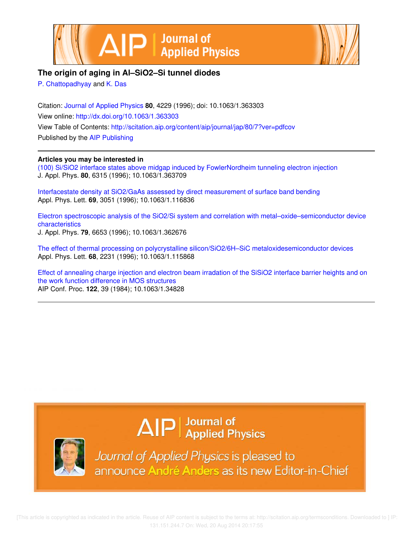



## **The origin of aging in Al–SiO2–Si tunnel diodes**

P. Chattopadhyay and K. Das

Citation: Journal of Applied Physics **80**, 4229 (1996); doi: 10.1063/1.363303 View online: http://dx.doi.org/10.1063/1.363303 View Table of Contents: http://scitation.aip.org/content/aip/journal/jap/80/7?ver=pdfcov Published by the AIP Publishing

## **Articles you may be interested in**

(100) Si/SiO2 interface states above midgap induced by FowlerNordheim tunneling electron injection J. Appl. Phys. **80**, 6315 (1996); 10.1063/1.363709

Interfacestate density at SiO2/GaAs assessed by direct measurement of surface band bending Appl. Phys. Lett. **69**, 3051 (1996); 10.1063/1.116836

Electron spectroscopic analysis of the SiO2/Si system and correlation with metal–oxide–semiconductor device characteristics J. Appl. Phys. **79**, 6653 (1996); 10.1063/1.362676

The effect of thermal processing on polycrystalline silicon/SiO2/6H–SiC metaloxidesemiconductor devices Appl. Phys. Lett. **68**, 2231 (1996); 10.1063/1.115868

Effect of annealing charge injection and electron beam irradation of the SiSiO2 interface barrier heights and on the work function difference in MOS structures AIP Conf. Proc. **122**, 39 (1984); 10.1063/1.34828

## $\Delta$   $\vert P \vert$  Journal of Applied Physics



Journal of Applied Physics is pleased to announce André Anders as its new Editor-in-Chief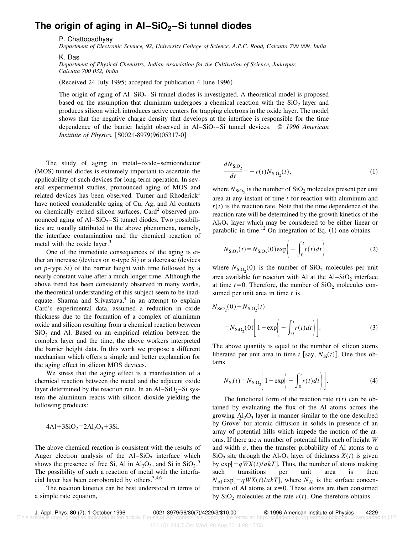## **The origin of aging in Al–SiO2–Si tunnel diodes**

P. Chattopadhyay

*Department of Electronic Science, 92, University College of Science, A.P.C. Road, Calcutta 700 009, India*

K. Das

*Department of Physical Chemistry, Indian Association for the Cultivation of Science, Jadavpur, Calcutta 700 032, India*

(Received 24 July 1995; accepted for publication 4 June 1996)

The origin of aging of  $Al-SiO<sub>2</sub>-Si$  tunnel diodes is investigated. A theoretical model is proposed based on the assumption that aluminum undergoes a chemical reaction with the  $SiO<sub>2</sub>$  layer and produces silicon which introduces active centers for trapping electrons in the oxide layer. The model shows that the negative charge density that develops at the interface is responsible for the time dependence of the barrier height observed in Al–SiO<sub>2</sub>–Si tunnel devices. © 1996 American *Institute of Physics.* [S0021-8979(96)05317-0]

The study of aging in metal–oxide–semiconductor (MOS) tunnel diodes is extremely important to ascertain the applicability of such devices for long-term operation. In several experimental studies, pronounced aging of MOS and related devices has been observed. Turner and Rhoderick<sup>1</sup> have noticed considerable aging of Cu, Ag, and Al contacts on chemically etched silicon surfaces. Card<sup>2</sup> observed pronounced aging of  $Al-SiO<sub>2</sub>-Si$  tunnel diodes. Two possibilities are usually attributed to the above phenomena, namely, the interface contamination and the chemical reaction of metal with the oxide layer.<sup>3</sup>

One of the immediate consequences of the aging is either an increase (devices on  $n$ -type Si) or a decrease (devices on  $p$ -type Si) of the barrier height with time followed by a nearly constant value after a much longer time. Although the above trend has been consistently observed in many works, the theoretical understanding of this subject seem to be inadequate. Sharma and Srivastava, $4$  in an attempt to explain Card's experimental data, assumed a reduction in oxide thickness due to the formation of a complex of aluminum oxide and silicon resulting from a chemical reaction between  $SiO<sub>2</sub>$  and Al. Based on an empirical relation between the complex layer and the time, the above workers interpreted the barrier height data. In this work we propose a different mechanism which offers a simple and better explanation for the aging effect in silicon MOS devices.

We stress that the aging effect is a manifestation of a chemical reaction between the metal and the adjacent oxide layer determined by the reaction rate. In an  $Al-SiO<sub>2</sub>-Si$  system the aluminum reacts with silicon dioxide yielding the following products:

$$
4AI + 3SiO_2 = 2Al_2O_3 + 3Si.
$$

The above chemical reaction is consistent with the results of Auger electron analysis of the  $AI-SiO<sub>2</sub>$  interface which shows the presence of free Si, Al in  $Al_2O_3$ , and Si in  $SiO_2$ .<sup>5</sup> The possibility of such a reaction of metal with the interfacial layer has been corroborated by others.<sup>3,4,6</sup>

The reaction kinetics can be best understood in terms of a simple rate equation,

$$
\frac{dN_{\rm SiO_2}}{dt} = -r(t)N_{\rm SiO_2}(t),\tag{1}
$$

where  $N_{SiO_2}$  is the number of  $SiO_2$  molecules present per unit area at any instant of time *t* for reaction with aluminum and  $r(t)$  is the reaction rate. Note that the time dependence of the reaction rate will be determined by the growth kinetics of the  $Al_2O_3$  layer which may be considered to be either linear or parabolic in time.<sup>12</sup> On integration of Eq.  $(1)$  one obtains

$$
N_{\text{SiO}_2}(t) = N_{\text{SiO}_2}(0) \exp\left(-\int_0^t r(t)dt\right),\tag{2}
$$

where  $N_{\text{SiO}_2}(0)$  is the number of  $\text{SiO}_2$  molecules per unit area available for reaction with Al at the  $AI-SiO<sub>2</sub>$  interface at time  $t=0$ . Therefore, the number of  $SiO<sub>2</sub>$  molecules consumed per unit area in time *t* is

$$
N_{\text{SiO}_2}(0) - N_{\text{SiO}_2}(t)
$$
  
=  $N_{\text{SiO}_2}(0) \left[ 1 - \exp \left( - \int_0^t r(t) dt \right) \right].$  (3)

The above quantity is equal to the number of silicon atoms liberated per unit area in time *t* [say,  $N_{\text{Si}}(t)$ ]. One thus obtains

$$
N_{\rm Si}(t) = N_{\rm SiO_2} \left[ 1 - \exp\left(-\int_0^t r(t)dt\right) \right].
$$
 (4)

The functional form of the reaction rate  $r(t)$  can be obtained by evaluating the flux of the Al atoms across the growing  $Al_2O_3$  layer in manner similar to the one described by Grove<sup>7</sup> for atomic diffusion in solids in presence of an array of potential hills which impede the motion of the atoms. If there are *n* number of potential hills each of height *W* and width *a*, then the transfer probability of Al atoms to a  $SiO<sub>2</sub>$  site through the Al<sub>2</sub>O<sub>3</sub> layer of thickness *X*(*t*) is given by  $\exp[-qWX(t)/akT]$ . Thus, the number of atoms making such transitions per unit area is then  $N_{\text{Al}} \exp[-qWX(t)/akT]$ , where  $N_{\text{Al}}$  is the surface concentration of Al atoms at  $x=0$ . These atoms are then consumed by  $SiO<sub>2</sub>$  molecules at the rate  $r(t)$ . One therefore obtains

[This article is copyrighted as indicated in the article. Reuse of AIP content is subject to the terms at: http://scitation.aip.org/termsconditions. Downloaded to ] IP:

J. Appl. Phys. **80** (7), 1 October 1996 0021-8979/96/80(7)/4229/3/\$10.00 © 1996 American Institute of Physics 4229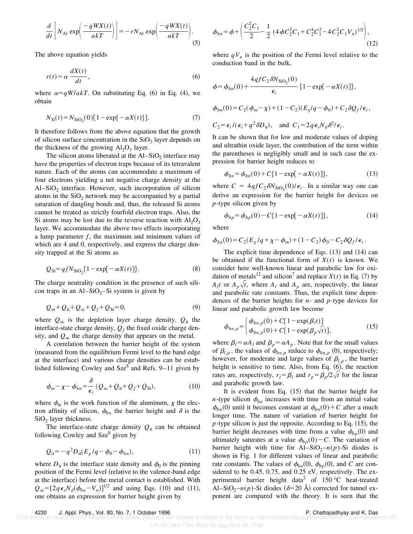$$
\frac{d}{dt} \left[ N_{\text{Al}} \exp\left( \frac{-qWX(t)}{akT} \right) \right] = -rN_{\text{Al}} \exp\left( \frac{-qWX(t)}{akT} \right). \tag{5}
$$

The above equation yields

$$
r(t) = \alpha \frac{dX(t)}{dt},\tag{6}
$$

where  $\alpha=qW/akT$ . On substituting Eq. (6) in Eq. (4), we obtain

$$
N_{\rm Si}(t) = N_{\rm SiO_2}(0)[1 - \exp\{-\alpha X(t)\}].
$$
 (7)

It therefore follows from the above equation that the growth of silicon surface concentration in the  $SiO<sub>2</sub>$  layer depends on the thickness of the growing  $Al_2O_3$  layer.

The silicon atoms liberated at the  $AI-SiO<sub>2</sub>$  interface may have the properties of electron traps because of its tetravalent nature. Each of the atoms can accommodate a maximum of four electrons yielding a net negative charge density at the  $Al-SiO<sub>2</sub>$  interface. However, such incorporation of silicon atoms in the  $SiO<sub>2</sub>$  network may be accompanied by a partial saturation of dangling bonds and, thus, the released Si atoms cannot be treated as strictly fourfold electron traps. Also, the Si atoms may be lost due to the reverse reaction with  $Al_2O_3$ layer. We accommodate the above two effects incorporating a lump parameter  $f$ , the maximum and minimum values of which are 4 and 0, respectively, and express the charge density trapped at the Si atoms as

$$
Q_{\rm Si} = qfN_{\rm SiO_2} \{ 1 - \exp[-\alpha X(t)] \}.
$$
 (8)

The charge neutrality condition in the presence of such silicon traps in an Al–SiO<sub>2</sub>–Si system is given by

$$
Q_m + Q_{it} + Q_{sc} + Q_f + Q_{Si} = 0,
$$
\n(9)

where  $Q_{\rm sc}$  is the depletion layer charge density,  $Q_{\rm it}$  the interface-state charge density,  $Q_f$  the fixed oxide charge density, and  $Q_m$  the charge density that appears on the metal.

A correlation between the barrier height of the system (measured from the equilibrium Fermi level to the band edge at the interface) and various charge densities can be established following Cowley and Sze $\delta$  and Refs. 9–11 given by

$$
\phi_m - \chi - \phi_{bn} = \frac{\delta}{\epsilon_i} \left( Q_{sc} + Q_{it} + Q_f + Q_{Si} \right),\tag{10}
$$

where  $\phi_m$  is the work function of the aluminum,  $\chi$  the electron affinity of silicon,  $\phi_{bn}$  the barrier height and  $\delta$  is the  $SiO<sub>2</sub>$  layer thickness.

The interface-state charge density  $Q_{it}$  can be obtained following Cowley and Sze<sup>8</sup> given by

$$
Q_{it} = -q^2 D_{it}(E_g/q - \phi_0 - \phi_{bn}),
$$
\n(11)

where  $D_{it}$  is the interface state density and  $\phi_0$  is the pinning position of the Fermi level (relative to the valence-band edge at the interface) before the metal contact is established. With  $Q_{\text{sc}}=[2q\epsilon_{s}N_{d}(\phi_{bn}-V_{n})]^{1/2}$  and using Eqs. (10) and (11), one obtains an expression for barrier height given by

$$
\phi_{bn} = \phi + \left(\frac{C_2^2 C_1}{2} - \frac{1}{2} \left(4 \phi C_2^2 C_1 + C_2^4 C_1^2 - 4 C_2^2 C_1 V_n\right)^{1/2}\right),\tag{12}
$$

where  $qV_n$  is the position of the Fermi level relative to the conduction band in the bulk,

$$
\phi = \phi_{bn}(0) + \frac{4qfC_2\delta N_{\text{SiO}_2}(0)}{\epsilon_i} \{1 - \exp[-\alpha X(t)]\},
$$
  

$$
\phi_{bn}(0) = C_2(\phi_m - \chi) + (1 - C_2)(E_g/q - \phi_0) + C_2\delta Q_f/\epsilon_i,
$$
  

$$
C_2 = \epsilon_i/(\epsilon_i + q^2\delta D_{\text{it}}), \text{ and } C_1 = 2q\epsilon_s N_d\delta^2/\epsilon_i.
$$

It can be shown that for low and moderate values of doping and ultrathin oxide layer, the contribution of the term within the parentheses is negligibly small and in such case the expression for barrier height reduces to

$$
\phi_{bn} = \phi_{bn}(0) + C\{1 - \exp[-\alpha X(t)]\},\tag{13}
$$

where  $C = 4q f C_2 \delta N_{\text{SiO}_2}(0) / \epsilon_i$ . In a similar way one can derive an expression for the barrier height for devices on *p*-type silicon given by

$$
\phi_{bp} = \phi_{bp}(0) - C\{1 - \exp[-\alpha X(t)]\},\tag{14}
$$

where

$$
\phi_{bp}(0) = C_2(E_g/q + \chi - \phi_m) + (1 - C_2) \phi_0 - C_2 \delta Q_f / \epsilon_i.
$$

The explicit time dependence of Eqs.  $(13)$  and  $(14)$  can be obtained if the functional form of  $X(t)$  is known. We consider here well-known linear and parabolic law for oxidation of metals<sup>12</sup> and silicon<sup>7</sup> and replace  $X(t)$  in Eq. (7) by  $A_l t$  or  $A_p \sqrt{t}$ , where  $A_l$  and  $A_p$  are, respectively, the linear and parabolic rate constants. Thus, the explicit time dependences of the barrier heights for *n*- and *p*-type devices for linear and parabolic growth law become

$$
\phi_{bn,p} = \begin{cases} \phi_{bn,p}(0) + C[1 - \exp(\beta_l t)] \\ \phi_{bn,p}(0) + C[1 - \exp(\beta_p \sqrt{t})], \end{cases}
$$
(15)

where  $\beta_l = \alpha A_l$  and  $\beta_p = \alpha A_p$ . Note that for the small values of  $\beta_{l,p}$ , the values of  $\phi_{bn,p}$  reduce to  $\phi_{bn,p}$  (0), respectively; however, for moderate and large values of  $\beta_{l,p}$ , the barrier height is sensitive to time. Also, from Eq.  $(6)$ , the reaction rates are, respectively,  $r_l = \beta_l$  and  $r_p = \beta_p/2\sqrt{t}$  for the linear and parabolic growth law.

It is evident from Eq.  $(15)$  that the barrier height for *n*-type silicon  $\phi_{bn}$  increases with time from an initial value  $\phi_{bn}(0)$  until it becomes constant at  $\phi_{bn}(0) + C$  after a much longer time. The nature of variation of barrier height for  $p$ -type silicon is just the opposite. According to Eq.  $(15)$ , the barrier height decreases with time from a value  $\phi_{bn}(0)$  and ultimately saturates at a value  $\phi_{bp}(0) - C$ . The variation of barrier height with time for Al–SiO<sub>2</sub>– $n(p)$ -Si diodes is shown in Fig. 1 for different values of linear and parabolic rate constants. The values of  $\phi_{bn}(0)$ ,  $\phi_{bp}(0)$ , and *C* are considered to be 0.45, 0.75, and 0.25 eV, respectively. The experimental barrier height data<sup>2</sup> of  $150 °C$  heat-treated Al–SiO<sub>2</sub>– $n(p)$ -Si diodes ( $\delta$ =20 Å) corrected for tunnel exponent are compared with the theory. It is seen that the

131.151.244.7 On: Wed, 20 Aug 2014 20:17:55